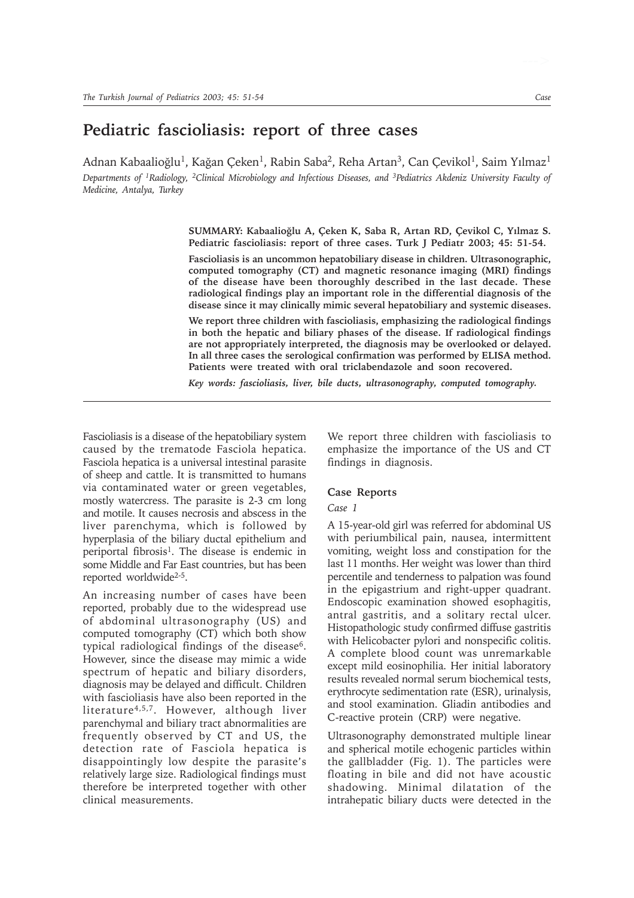# **Pediatric fascioliasis: report of three cases**

Adnan Kabaalioğlu<sup>1</sup>, Kağan Çeken<sup>1</sup>, Rabin Saba<sup>2</sup>, Reha Artan<sup>3</sup>, Can Çevikol<sup>1</sup>, Saim Yılmaz<sup>1</sup>

*Departments of 1Radiology, 2Clinical Microbiology and Infectious Diseases, and 3Pediatrics Akdeniz University Faculty of Medicine, Antalya, Turkey*

> SUMMARY: Kabaalioğlu A, Çeken K, Saba R, Artan RD, Çevikol C, Yılmaz S. **Pediatric fascioliasis: report of three cases. Turk J Pediatr 2003; 45: 51-54.**

> **Fascioliasis is an uncommon hepatobiliary disease in children. Ultrasonographic, computed tomography (CT) and magnetic resonance imaging (MRI) findings of the disease have been thoroughly described in the last decade. These radiological findings play an important role in the differential diagnosis of the disease since it may clinically mimic several hepatobiliary and systemic diseases.**

> **We report three children with fascioliasis, emphasizing the radiological findings in both the hepatic and biliary phases of the disease. If radiological findings are not appropriately interpreted, the diagnosis may be overlooked or delayed. In all three cases the serological confirmation was performed by ELISA method. Patients were treated with oral triclabendazole and soon recovered.**

*Key words: fascioliasis, liver, bile ducts, ultrasonography, computed tomography.*

Fascioliasis is a disease of the hepatobiliary system caused by the trematode Fasciola hepatica. Fasciola hepatica is a universal intestinal parasite of sheep and cattle. It is transmitted to humans via contaminated water or green vegetables, mostly watercress. The parasite is 2-3 cm long and motile. It causes necrosis and abscess in the liver parenchyma, which is followed by hyperplasia of the biliary ductal epithelium and periportal fibrosis1. The disease is endemic in some Middle and Far East countries, but has been reported worldwide2-5.

An increasing number of cases have been reported, probably due to the widespread use of abdominal ultrasonography (US) and computed tomography (CT) which both show typical radiological findings of the disease6. However, since the disease may mimic a wide spectrum of hepatic and biliary disorders, diagnosis may be delayed and difficult. Children with fascioliasis have also been reported in the literature4,5,7. However, although liver parenchymal and biliary tract abnormalities are frequently observed by CT and US, the detection rate of Fasciola hepatica is disappointingly low despite the parasite's relatively large size. Radiological findings must therefore be interpreted together with other clinical measurements.

We report three children with fascioliasis to emphasize the importance of the US and CT findings in diagnosis.

#### **Case Reports**

### *Case 1*

A 15-year-old girl was referred for abdominal US with periumbilical pain, nausea, intermittent vomiting, weight loss and constipation for the last 11 months. Her weight was lower than third percentile and tenderness to palpation was found in the epigastrium and right-upper quadrant. Endoscopic examination showed esophagitis, antral gastritis, and a solitary rectal ulcer. Histopathologic study confirmed diffuse gastritis with Helicobacter pylori and nonspecific colitis. A complete blood count was unremarkable except mild eosinophilia. Her initial laboratory results revealed normal serum biochemical tests, erythrocyte sedimentation rate (ESR), urinalysis, and stool examination. Gliadin antibodies and C-reactive protein (CRP) were negative.

Ultrasonography demonstrated multiple linear and spherical motile echogenic particles within the gallbladder (Fig. 1). The particles were floating in bile and did not have acoustic shadowing. Minimal dilatation of the intrahepatic biliary ducts were detected in the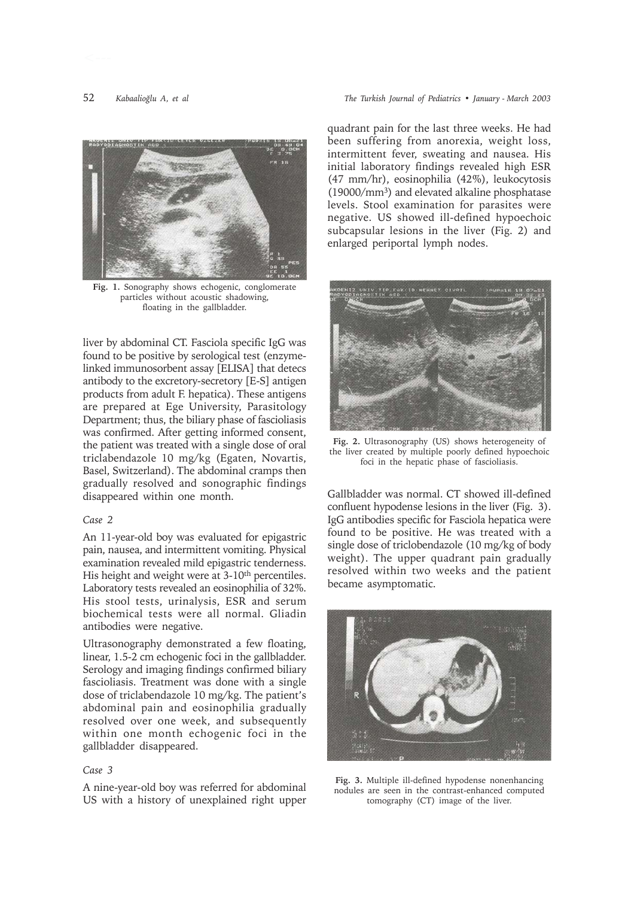

**Fig. 1.** Sonography shows echogenic, conglomerate particles without acoustic shadowing, floating in the gallbladder.

liver by abdominal CT. Fasciola specific IgG was found to be positive by serological test (enzymelinked immunosorbent assay [ELISA] that detecs antibody to the excretory-secretory [E-S] antigen products from adult F. hepatica). These antigens are prepared at Ege University, Parasitology Department; thus, the biliary phase of fascioliasis was confirmed. After getting informed consent, the patient was treated with a single dose of oral triclabendazole 10 mg/kg (Egaten, Novartis, Basel, Switzerland). The abdominal cramps then gradually resolved and sonographic findings disappeared within one month.

#### *Case 2*

An 11-year-old boy was evaluated for epigastric pain, nausea, and intermittent vomiting. Physical examination revealed mild epigastric tenderness. His height and weight were at 3-10<sup>th</sup> percentiles. Laboratory tests revealed an eosinophilia of 32%. His stool tests, urinalysis, ESR and serum biochemical tests were all normal. Gliadin antibodies were negative.

Ultrasonography demonstrated a few floating, linear, 1.5-2 cm echogenic foci in the gallbladder. Serology and imaging findings confirmed biliary fascioliasis. Treatment was done with a single dose of triclabendazole 10 mg/kg. The patient's abdominal pain and eosinophilia gradually resolved over one week, and subsequently within one month echogenic foci in the gallbladder disappeared.

# *Case 3*

A nine-year-old boy was referred for abdominal US with a history of unexplained right upper

quadrant pain for the last three weeks. He had been suffering from anorexia, weight loss, intermittent fever, sweating and nausea. His initial laboratory findings revealed high ESR (47 mm/hr), eosinophilia (42%), leukocytosis (19000/mm3) and elevated alkaline phosphatase levels. Stool examination for parasites were negative. US showed ill-defined hypoechoic subcapsular lesions in the liver (Fig. 2) and enlarged periportal lymph nodes.



**Fig. 2.** Ultrasonography (US) shows heterogeneity of the liver created by multiple poorly defined hypoechoic foci in the hepatic phase of fascioliasis.

Gallbladder was normal. CT showed ill-defined confluent hypodense lesions in the liver (Fig. 3). IgG antibodies specific for Fasciola hepatica were found to be positive. He was treated with a single dose of triclobendazole (10 mg/kg of body weight). The upper quadrant pain gradually resolved within two weeks and the patient became asymptomatic.



**Fig. 3.** Multiple ill-defined hypodense nonenhancing nodules are seen in the contrast-enhanced computed tomography (CT) image of the liver.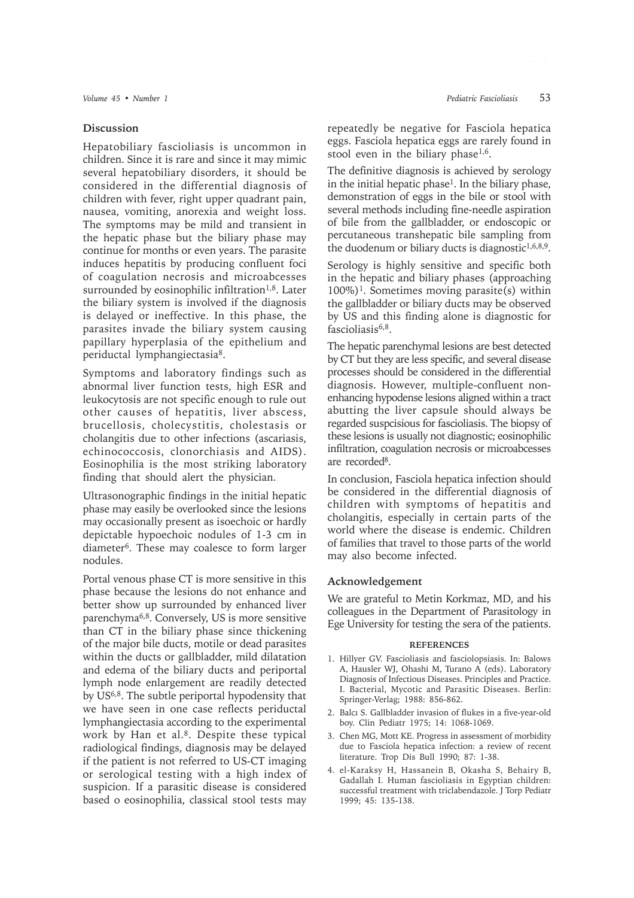### **Discussion**

Hepatobiliary fascioliasis is uncommon in children. Since it is rare and since it may mimic several hepatobiliary disorders, it should be considered in the differential diagnosis of children with fever, right upper quadrant pain, nausea, vomiting, anorexia and weight loss. The symptoms may be mild and transient in the hepatic phase but the biliary phase may continue for months or even years. The parasite induces hepatitis by producing confluent foci of coagulation necrosis and microabcesses surrounded by eosinophilic infiltration<sup>1,8</sup>. Later the biliary system is involved if the diagnosis is delayed or ineffective. In this phase, the parasites invade the biliary system causing papillary hyperplasia of the epithelium and periductal lymphangiectasia8.

Symptoms and laboratory findings such as abnormal liver function tests, high ESR and leukocytosis are not specific enough to rule out other causes of hepatitis, liver abscess, brucellosis, cholecystitis, cholestasis or cholangitis due to other infections (ascariasis, echinococcosis, clonorchiasis and AIDS). Eosinophilia is the most striking laboratory finding that should alert the physician.

Ultrasonographic findings in the initial hepatic phase may easily be overlooked since the lesions may occasionally present as isoechoic or hardly depictable hypoechoic nodules of 1-3 cm in diameter6. These may coalesce to form larger nodules.

Portal venous phase CT is more sensitive in this phase because the lesions do not enhance and better show up surrounded by enhanced liver parenchyma6,8. Conversely, US is more sensitive than CT in the biliary phase since thickening of the major bile ducts, motile or dead parasites within the ducts or gallbladder, mild dilatation and edema of the biliary ducts and periportal lymph node enlargement are readily detected by US6,8. The subtle periportal hypodensity that we have seen in one case reflects periductal lymphangiectasia according to the experimental work by Han et al.<sup>8</sup>. Despite these typical radiological findings, diagnosis may be delayed if the patient is not referred to US-CT imaging or serological testing with a high index of suspicion. If a parasitic disease is considered based o eosinophilia, classical stool tests may

repeatedly be negative for Fasciola hepatica eggs. Fasciola hepatica eggs are rarely found in stool even in the biliary phase $1,6$ .

The definitive diagnosis is achieved by serology in the initial hepatic phase<sup>1</sup>. In the biliary phase, demonstration of eggs in the bile or stool with several methods including fine-needle aspiration of bile from the gallbladder, or endoscopic or percutaneous transhepatic bile sampling from the duodenum or biliary ducts is diagnostic $1,6,8,9$ .

Serology is highly sensitive and specific both in the hepatic and biliary phases (approaching  $100\%$ <sup>1</sup>. Sometimes moving parasite(s) within the gallbladder or biliary ducts may be observed by US and this finding alone is diagnostic for fascioliasis<sup>6,8</sup>.

The hepatic parenchymal lesions are best detected by CT but they are less specific, and several disease processes should be considered in the differential diagnosis. However, multiple-confluent nonenhancing hypodense lesions aligned within a tract abutting the liver capsule should always be regarded suspcisious for fascioliasis. The biopsy of these lesions is usually not diagnostic; eosinophilic infiltration, coagulation necrosis or microabcesses are recorded8.

In conclusion, Fasciola hepatica infection should be considered in the differential diagnosis of children with symptoms of hepatitis and cholangitis, especially in certain parts of the world where the disease is endemic. Children of families that travel to those parts of the world may also become infected.

# **Acknowledgement**

We are grateful to Metin Korkmaz, MD, and his colleagues in the Department of Parasitology in Ege University for testing the sera of the patients.

#### **REFERENCES**

- 1. Hillyer GV. Fascioliasis and fasciolopsiasis. In: Balows A, Hausler WJ, Ohashi M, Turano A (eds). Laboratory Diagnosis of Infectious Diseases. Principles and Practice. I. Bacterial, Mycotic and Parasitic Diseases. Berlin: Springer-Verlag; 1988: 856-862.
- 2. Balci S. Gallbladder invasion of flukes in a five-year-old boy. Clin Pediatr 1975; 14: 1068-1069.
- 3. Chen MG, Mott KE. Progress in assessment of morbidity due to Fasciola hepatica infection: a review of recent literature. Trop Dis Bull 1990; 87: 1-38.
- 4. el-Karaksy H, Hassanein B, Okasha S, Behairy B, Gadallah I. Human fascioliasis in Egyptian children: successful treatment with triclabendazole. I Torp Pediatr 1999; 45: 135-138.